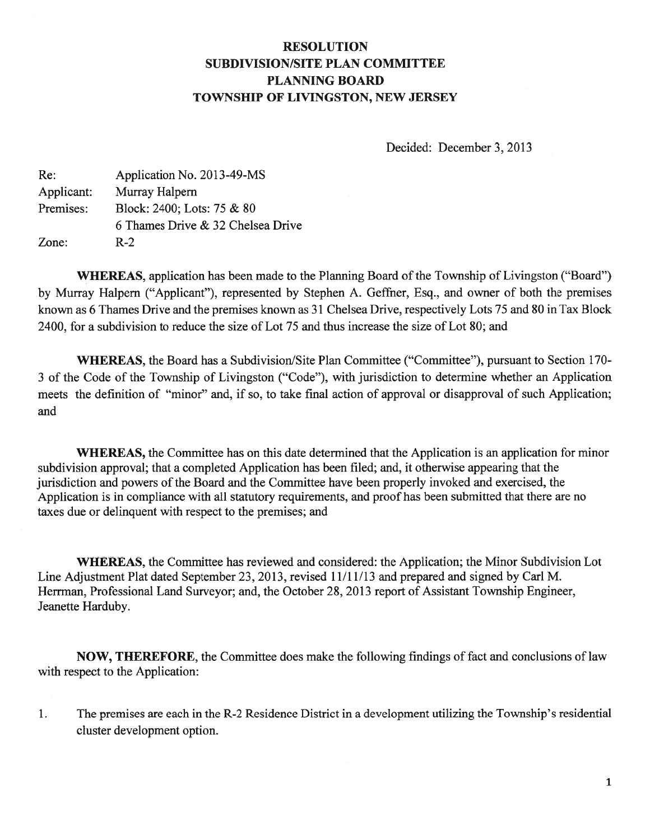## RESOLUTION SUBDIVISION/SITE PLAN COMMITTEE PLANNING BOARD TOWNSHIP OF LIVINGSTON, NEW JERSEY

Decided: December 3, 2013

| Re:        | Application No. 2013-49-MS        |
|------------|-----------------------------------|
| Applicant: | Murray Halpern                    |
| Premises:  | Block: 2400; Lots: 75 & 80        |
|            | 6 Thames Drive & 32 Chelsea Drive |
| Zone:      | $R-2$                             |

WHEREAS, application has been made to the Planning Board of the Township of Livingston ("Board") by Murray Halpern ("Applicant"), represented by Stephen A. Geffner, Esq., and owner of both the premises known as 6 Thames Drive and the premises known as 31 Chelsea Drive, respectively Lots 75 and 80 in Tax Block 2400, for <sup>a</sup> subdivision to reduce the size of Lot 75 and thus increase the size of Lot 80; and

WHEREAS, the Board has a Subdivision/Site Plan Committee ("Committee"), pursuant to Section 170-3 of the Code of the Township of Livingston ("Code"), with jurisdiction to determine whether an Application meets the definition of "minor" and, if so, to take final action of approval or disapproval of such Application; and

WHEREAS, the Committee has on this date determined that the Application is an application for minor subdivision approval; that <sup>a</sup> completed Application has been filed; and, it otherwise appearing that the jurisdiction and powers of the Board and the Committee have been properly invoked and exercised, the Application is in compliance with all statutory requirements, and proof has been submitted that there are no taxes due or delinquent with respec<sup>t</sup> to the premises; and

WHEREAS, the Committee has reviewed and considered: the Application; the Minor Subdivision Lot Line Adjustment Plat dated September 23, 2013, revised 11/11/13 and prepared and signed by Carl M. Herrman, Professional Land Surveyor; and, the October 28, 2013 repor<sup>t</sup> of Assistant Township Engineer, Jeanette Harduby.

NOW, THEREFORE, the Committee does make the following findings of fact and conclusions of law with respec<sup>t</sup> to the Application:

1. The premises are each in the R-2 Residence District in <sup>a</sup> development utilizing the Township's residential cluster development option.